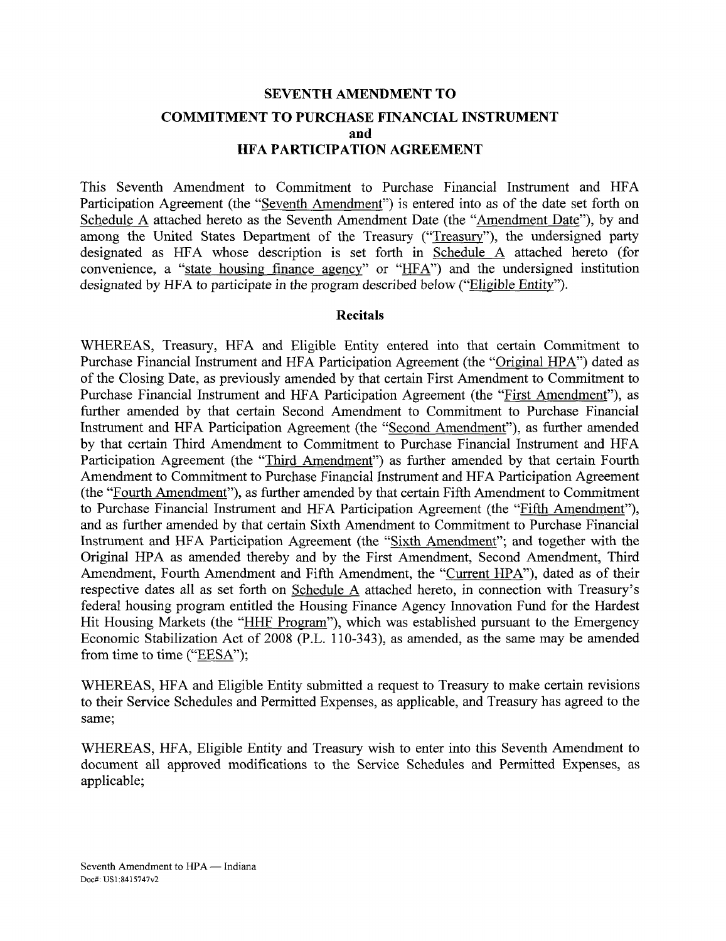# **SEVENTH AMENDMENT TO COMMITMENT TO PURCHASE FINANCIAL INSTRUMENT and HFA PARTICIPATION AGREEMENT**

This Seventh Amendment to Commitment to Purchase Financial Instrument and HFA Participation Agreement (the "Seventh Amendment") is entered into as of the date set forth on Schedule A attached hereto as the Seventh Amendment Date (the "Amendment Date"), by and among the United States Department of the Treasury ("Treasury"), the undersigned party designated as HFA whose description is set forth in Schedule A attached hereto (for convenience, a "state housing finance agency" or "HFA") and the undersigned institution designated by HFA to participate in the program described below ("Eligible Entity").

#### **Recitals**

WHEREAS, Treasury, HFA and Eligible Entity entered into that certain Commitment to Purchase Financial Instrument and HFA Participation Agreement (the "Original HPA") dated as of the Closing Date, as previously amended by that certain First Amendment to Commitment to Purchase Financial Instrument and HFA Participation Agreement (the "First Amendment"), as further amended by that certain Second Amendment to Commitment to Purchase Financial Instrument and HFA Participation Agreement (the "Second Amendment"), as further amended by that certain Third Amendment to Commitment to Purchase Financial Instrument and HFA Participation Agreement (the "Third Amendment") as further amended by that certain Fourth Amendment to Commitment to Purchase Financial Instrument and HFA Participation Agreement (the "Fourth Amendment"), as further amended by that certain Fifth Amendment to Commitment to Purchase Financial Instrument and HFA Participation Agreement (the "Fifth Amendment"), and as further amended by that certain Sixth Amendment to Commitment to Purchase Financial Instrument and HFA Participation Agreement (the "Sixth Amendment"; and together with the Original HPA as amended thereby and by the First Amendment, Second Amendment, Third Amendment, Fourth Amendment and Fifth Amendment, the "Current HPA"), dated as of their respective dates all as set forth on Schedule A attached hereto, in connection with Treasury's federal housing program entitled the Housing Finance Agency Innovation Fund for the Hardest Hit Housing Markets (the "HHF Program"), which was established pursuant to the Emergency Economic Stabilization Act of 2008 (P.L. 110-343), as amended, as the same may be amended from time to time ("EESA");

WHEREAS, HFA and Eligible Entity submitted a request to Treasury to make certain revisions to their Service Schedules and Permitted Expenses, as applicable, and Treasury has agreed to the same;

WHEREAS, HFA, Eligible Entity and Treasury wish to enter into this Seventh Amendment to document all approved modifications to the Service Schedules and Permitted Expenses, as applicable;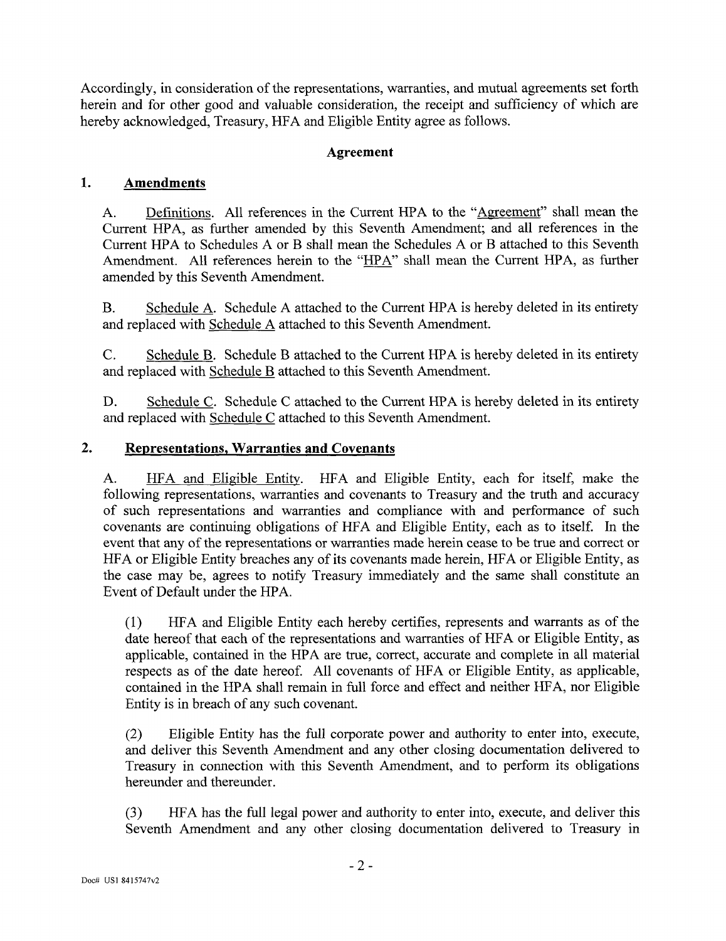Accordingly, in consideration of the representations, warranties, and mutual agreements set forth herein and for other good and valuable consideration, the receipt and sufficiency of which are hereby acknowledged, Treasury, HFA and Eligible Entity agree as follows.

#### **Agreement**

#### **1. Amendments**

A. Definitions. All references in the Current HPA to the "Agreement" shall mean the Current HPA, as further amended by this Seventh Amendment; and all references in the Current HPA to Schedules A or B shall mean the Schedules A or B attached to this Seventh Amendment. All references herein to the "HPA" shall mean the Current HPA, as further amended by this Seventh Amendment.

B. Schedule A. Schedule A attached to the Current HPA is hereby deleted in its entirety and replaced with Schedule A attached to this Seventh Amendment.

C. Schedule B. Schedule B attached to the Current HPA is hereby deleted in its entirety and replaced with Schedule B attached to this Seventh Amendment.

D. Schedule C. Schedule C attached to the Current HPA is hereby deleted in its entirety and replaced with Schedule C attached to this Seventh Amendment.

#### **2. Representations, Warranties and Covenants**

A. HFA and Eligible Entity. HFA and Eligible Entity, each for itself, make the following representations, warranties and covenants to Treasury and the truth and accuracy of such representations and warranties and compliance with and performance of such covenants are continuing obligations of HFA and Eligible Entity, each as to itself. In the event that any of the representations or warranties made herein cease to be true and correct or HFA or Eligible Entity breaches any of its covenants made herein, HFA or Eligible Entity, as the case may be, agrees to notify Treasury immediately and the same shall constitute an Event of Default under the HPA.

(1) HFA and Eligible Entity each hereby certifies, represents and warrants as of the date hereof that each of the representations and warranties of HFA or Eligible Entity, as applicable, contained in the HPA are true, correct, accurate and complete in all material respects as of the date hereof. All covenants of HFA or Eligible Entity, as applicable, contained in the HPA shall remain in full force and effect and neither HFA, nor Eligible Entity is in breach of any such covenant.

(2) Eligible Entity has the full corporate power and authority to enter into, execute, and deliver this Seventh Amendment and any other closing documentation delivered to Treasury in connection with this Seventh Amendment, and to perform its obligations hereunder and thereunder.

(3) HFA has the full legal power and authority to enter into, execute, and deliver this Seventh Amendment and any other closing documentation delivered to Treasury in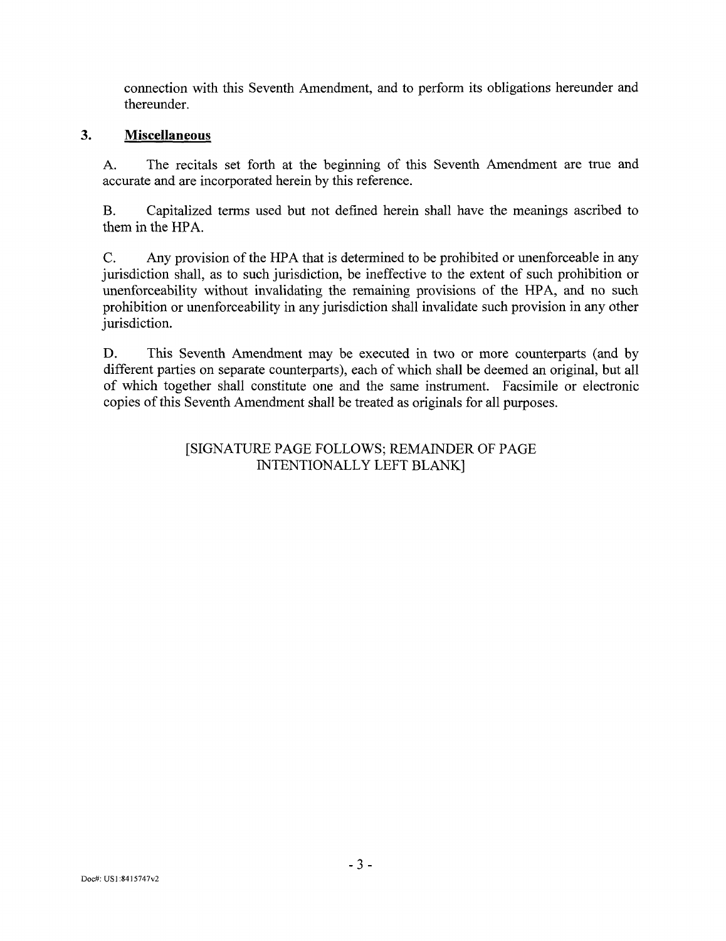connection with this Seventh Amendment, and to perform its obligations hereunder and thereunder.

#### $\overline{3}$ . **Miscellaneous**

A. The recitals set forth at the beginning of this Seventh Amendment are true and accurate and are incorporated herein by this reference.

B. Capitalized terms used but not defined herein shall have the meanings ascribed to them in the HPA.

C. Any provision of the HPA that is determined to be prohibited or unenforceable in any jurisdiction shall, as to such jurisdiction, be ineffective to the extent of such prohibition or unenforceability without invalidating the remaining provisions of the HPA, and no such prohibition or unenforceability in any jurisdiction shall invalidate such provision in any other jurisdiction.

D. This Seventh Amendment may be executed in two or more counterparts (and by different parties on separate counterparts), each of which shall be deemed an original, but all of which together shall constitute one and the same instrument. Facsimile or electronic copies of this Seventh Amendment shall be treated as originals for all purposes.

#### [SIGNATURE PAGE FOLLOWS; REMAINDER OF PAGE INTENTIONALLY LEFT BLANK]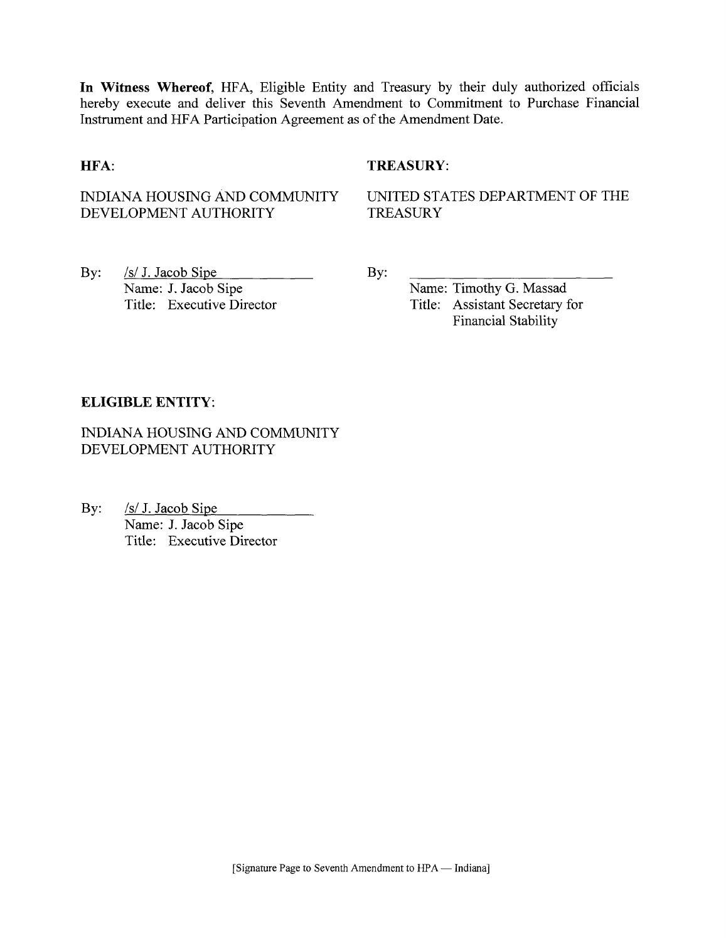**In Witness Whereof,** HFA, Eligible Entity and Treasury by their duly authorized officials hereby execute and deliver this Seventh Amendment to Commitment to Purchase Financial Instrument and HFA Participation Agreement as of the Amendment Date.

#### **HFA:** TREASURY:

INDIANA HOUSING AND COMMUNITY DEVELOPMENT AUTHORITY

UNITED STATES DEPARTMENT OF THE **TREASURY** 

By: <u>/s/ J. Jacob Sipe</u> Name: J. Jacob Sipe Title: Executive Director By:

Name: Timothy G. Massad Title: Assistant Secretary for Financial Stability

#### **ELIGIBLE ENTITY.**

INDIANA HOUSING AND COMMUNITY DEVELOPMENT AUTHORITY

By: /s/ J. Jacob Sipe Name: J. Jacob Sipe Title: Executive Director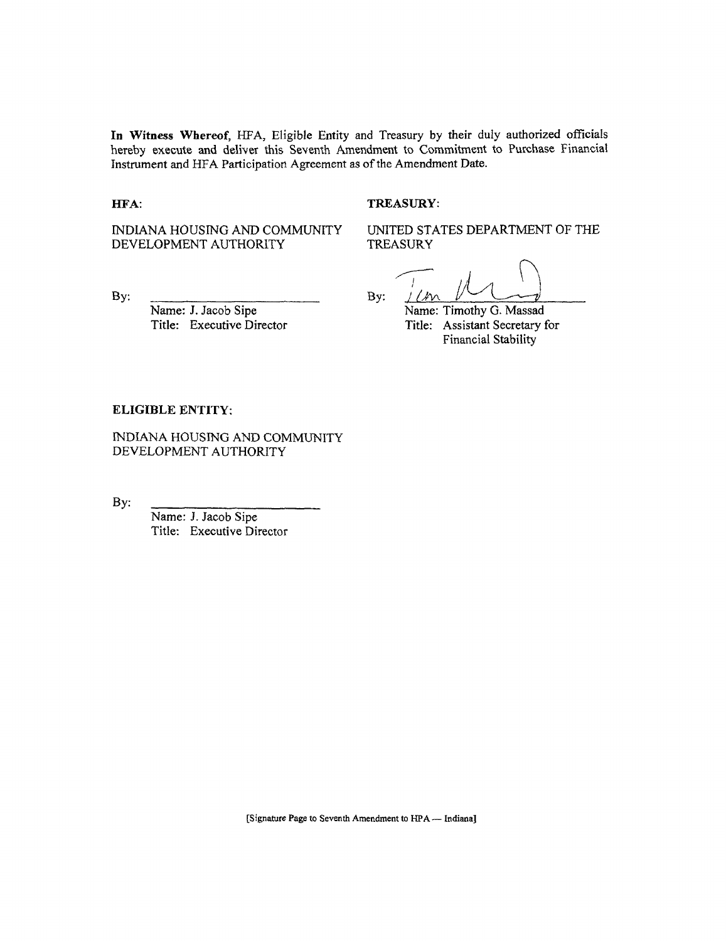**In Witness Whereof,** HFA, Eligible Entity and Treasury by their duly authorized officials hereby execute and deliver this Seventh Amendment to Commitment to Purchase Financial Instrument and HFA Participation Agreement as of the Amendment Date.

#### **HFA:** TREASURY:

INDIANA HOUSING AND COMMUNITY DEVELOPMENT AUTHORITY

UNITED STATES DEPARTMENT OF THE TREASURY

By:

Name: J. Jacob Sipe Title: Executive Director By:  $1$  (*KV*)

Name: Timothy G. Massad Title: Assistant Secretary for Financial Stability

#### **ELIGIBLE ENTITY:**

INDIANA HOUSING AND COMMUNITY DEVELOPMENT AUTHORITY

By:

Name: J. Jacob Sipe Title: Executive Director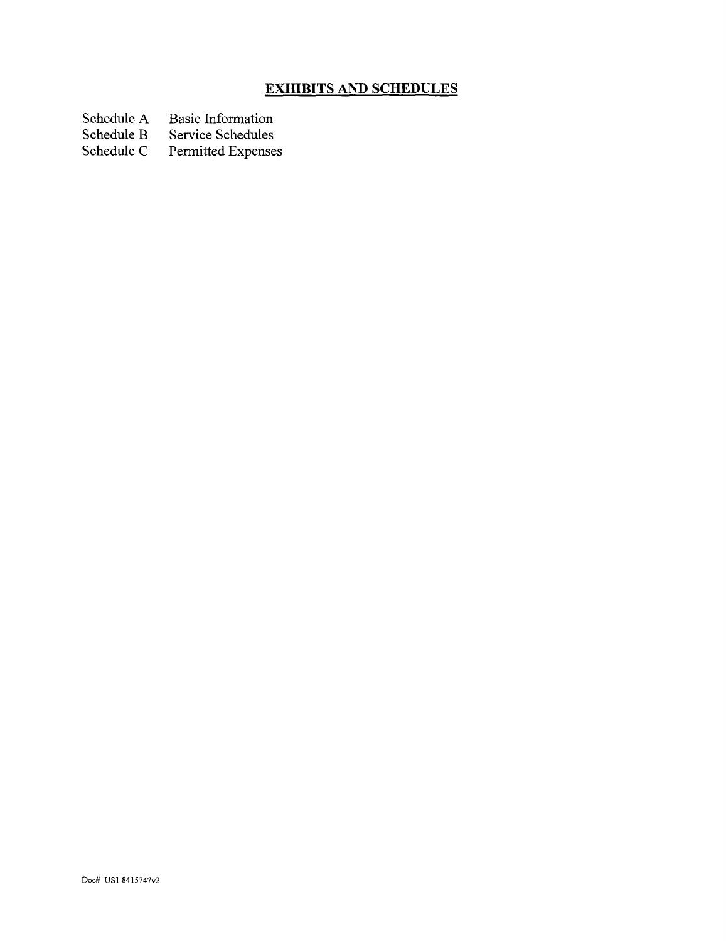# **EXHIBITS AND SCHEDULES**

Schedule A Basic Information<br>Schedule B Service Schedules

Schedule B Service Schedules<br>Schedule C Permitted Expense

Permitted Expenses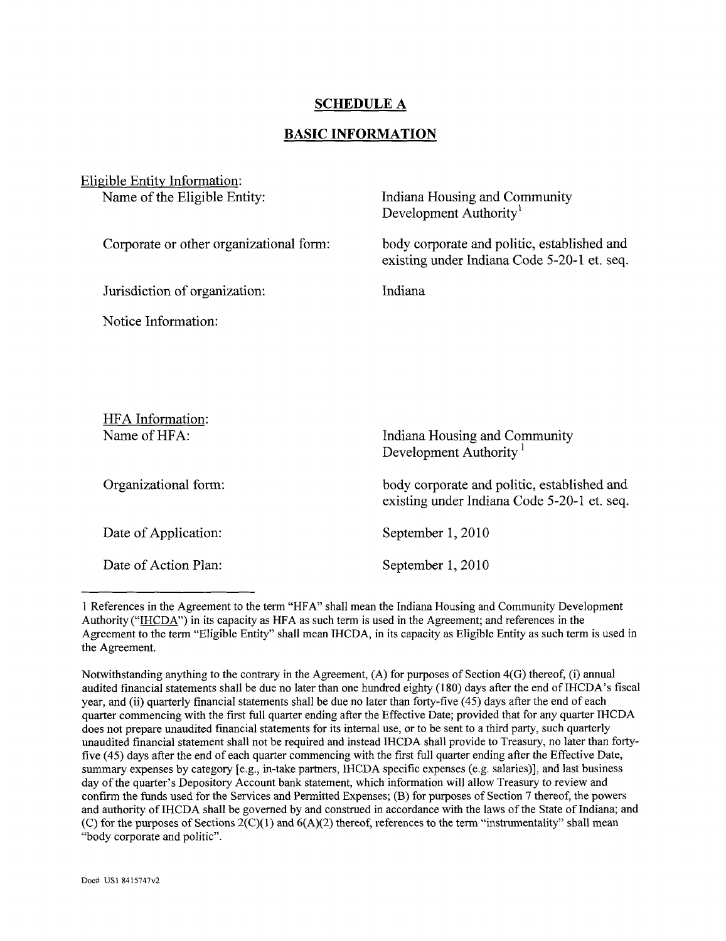#### **SCHEDULE A**

#### **BASIC INFORMATION**

| Eligible Entity Information:            |                                                                                            |
|-----------------------------------------|--------------------------------------------------------------------------------------------|
| Name of the Eligible Entity:            | Indiana Housing and Community<br>Development Authority <sup>1</sup>                        |
| Corporate or other organizational form: | body corporate and politic, established and<br>existing under Indiana Code 5-20-1 et. seq. |
| Jurisdiction of organization:           | Indiana                                                                                    |
| Notice Information:                     |                                                                                            |
|                                         |                                                                                            |
|                                         |                                                                                            |
| HFA Information:                        |                                                                                            |
| Name of HFA:                            | Indiana Housing and Community<br>Development Authority <sup>1</sup>                        |
| Organizational form:                    | body corporate and politic, established and<br>existing under Indiana Code 5-20-1 et. seq. |
| Date of Application:                    | September 1, 2010                                                                          |
| Date of Action Plan:                    | September 1, 2010                                                                          |

<sup>1</sup> References in the Agreement to the term "HFA" shall mean the Indiana Housing and Community Development Authority ("IHCDA") in its capacity as HFA as such term is used in the Agreement; and references in the Agreement to the term "Eligible Entity" shall mean IHCDA, in its capacity as Eligible Entity as such term is used in the Agreement.

Notwithstanding anything to the contrary in the Agreement, (A) for purposes of Section 4(G) thereof, (i) annual audited financial statements shall be due no later than one hundred eighty (180) days after the end of IHCDA's fiscal year, and (ii) quarterly financial statements shall be due no later than forty-five (45) days after the end of each quarter commencing with the first full quarter ending after the Effective Date; provided that for any quarter IHCDA does not prepare unaudited financial statements for its internal use, or to be sent to a third party, such quarterly unaudited financial statement shall not be required and instead IHCDA shall provide to Treasury, no later than fortyfive (45) days after the end of each quarter commencing with the first full quarter ending after the Effective Date, summary expenses by category [e.g., in-take partners, IHCDA specific expenses (e.g. salaries)], and last business day of the quarter's Depository Account bank statement, which information will allow Treasury to review and confirm the funds used for the Services and Permitted Expenses; (B) for purposes of Section 7 thereof, the powers and authority of IHCDA shall be governed by and construed in accordance with the laws of the State of Indiana; and (C) for the purposes of Sections  $2(C)(1)$  and  $6(A)(2)$  thereof, references to the term "instrumentality" shall mean "body corporate and politic".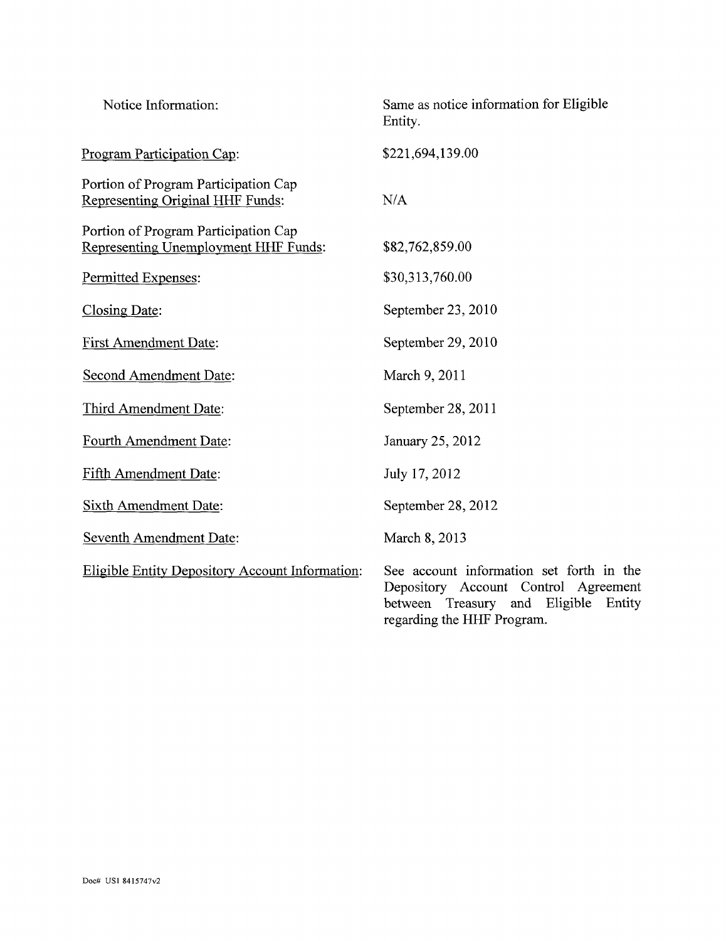| Notice Information:                                                          | Same as notice information for Eligible<br>Entity.                                                                                                              |
|------------------------------------------------------------------------------|-----------------------------------------------------------------------------------------------------------------------------------------------------------------|
| Program Participation Cap:                                                   | \$221,694,139.00                                                                                                                                                |
| Portion of Program Participation Cap<br>Representing Original HHF Funds:     | N/A                                                                                                                                                             |
| Portion of Program Participation Cap<br>Representing Unemployment HHF Funds: | \$82,762,859.00                                                                                                                                                 |
| Permitted Expenses:                                                          | \$30,313,760.00                                                                                                                                                 |
| Closing Date:                                                                | September 23, 2010                                                                                                                                              |
| <b>First Amendment Date:</b>                                                 | September 29, 2010                                                                                                                                              |
| Second Amendment Date:                                                       | March 9, 2011                                                                                                                                                   |
| Third Amendment Date:                                                        | September 28, 2011                                                                                                                                              |
| Fourth Amendment Date:                                                       | January 25, 2012                                                                                                                                                |
| <b>Fifth Amendment Date:</b>                                                 | July 17, 2012                                                                                                                                                   |
| <b>Sixth Amendment Date:</b>                                                 | September 28, 2012                                                                                                                                              |
| <b>Seventh Amendment Date:</b>                                               | March 8, 2013                                                                                                                                                   |
| Eligible Entity Depository Account Information:                              | See account information set forth in the<br>Depository Account Control Agreement<br>Eligible<br>between<br>Treasury and<br>Entity<br>regarding the HHF Program. |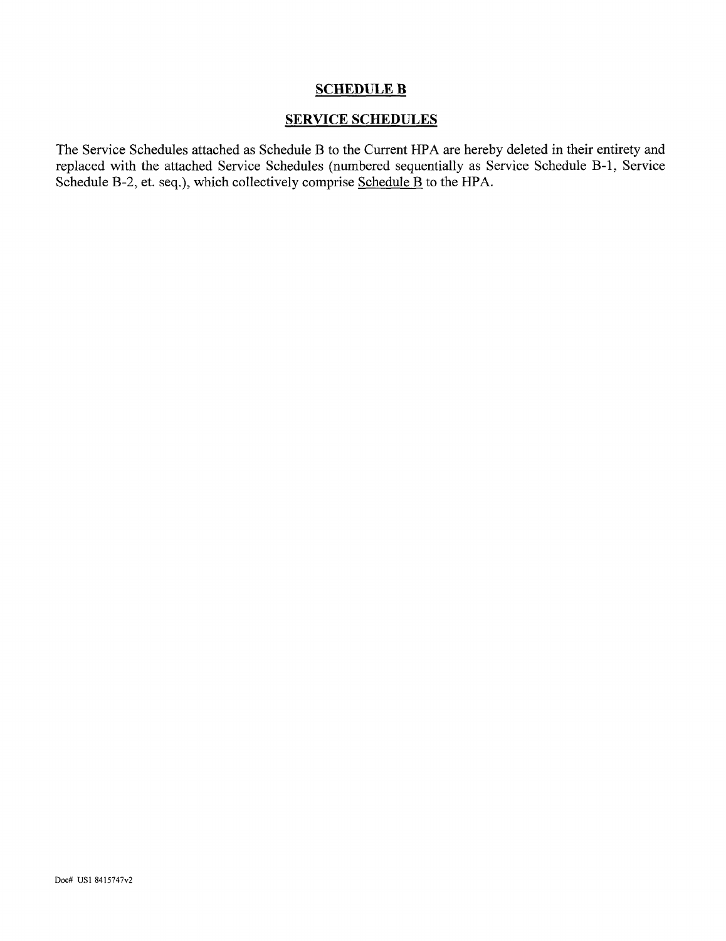#### SCHEDULE B

#### SERVICE SCHEDULES

The Service Schedules attached as Schedule B to the Current HPA are hereby deleted in their entirety and replaced with the attached Service Schedules (numbered sequentially as Service Schedule B-l, Service Schedule B-2, et. seq.), which collectively comprise Schedule B to the HPA.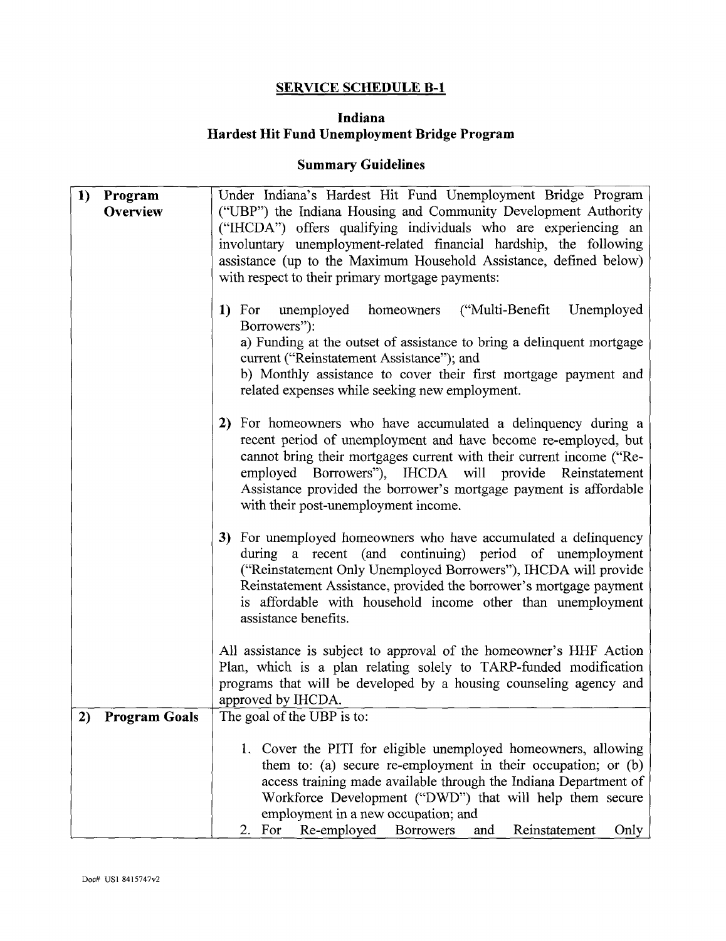## **SERVICE SCHEDULE B-l**

#### **Indiana Hardest Hit Fund Unemployment Bridge Program**

## **Summary Guidelines**

| 1) | Program<br><b>Overview</b> | Under Indiana's Hardest Hit Fund Unemployment Bridge Program<br>("UBP") the Indiana Housing and Community Development Authority<br>("IHCDA") offers qualifying individuals who are experiencing an<br>involuntary unemployment-related financial hardship, the following<br>assistance (up to the Maximum Household Assistance, defined below)<br>with respect to their primary mortgage payments: |
|----|----------------------------|----------------------------------------------------------------------------------------------------------------------------------------------------------------------------------------------------------------------------------------------------------------------------------------------------------------------------------------------------------------------------------------------------|
|    |                            | ("Multi-Benefit")<br>unemployed<br>Unemployed<br>1) For<br>homeowners<br>Borrowers"):<br>a) Funding at the outset of assistance to bring a delinquent mortgage<br>current ("Reinstatement Assistance"); and<br>b) Monthly assistance to cover their first mortgage payment and<br>related expenses while seeking new employment.                                                                   |
|    |                            | For homeowners who have accumulated a delinquency during a<br>2)<br>recent period of unemployment and have become re-employed, but<br>cannot bring their mortgages current with their current income ("Re-<br>employed Borrowers"), IHCDA will provide Reinstatement<br>Assistance provided the borrower's mortgage payment is affordable<br>with their post-unemployment income.                  |
|    |                            | 3) For unemployed homeowners who have accumulated a delinquency<br>during a recent (and continuing) period of unemployment<br>("Reinstatement Only Unemployed Borrowers"), IHCDA will provide<br>Reinstatement Assistance, provided the borrower's mortgage payment<br>is affordable with household income other than unemployment<br>assistance benefits.                                         |
|    |                            | All assistance is subject to approval of the homeowner's HHF Action<br>Plan, which is a plan relating solely to TARP-funded modification<br>programs that will be developed by a housing counseling agency and<br>approved by IHCDA.                                                                                                                                                               |
| 2) | <b>Program Goals</b>       | The goal of the UBP is to:                                                                                                                                                                                                                                                                                                                                                                         |
|    |                            | 1. Cover the PITI for eligible unemployed homeowners, allowing<br>them to: (a) secure re-employment in their occupation; or (b)<br>access training made available through the Indiana Department of<br>Workforce Development ("DWD") that will help them secure<br>employment in a new occupation; and<br>Re-employed<br>Reinstatement<br>For<br><b>Borrowers</b><br>Only<br>and<br>2.             |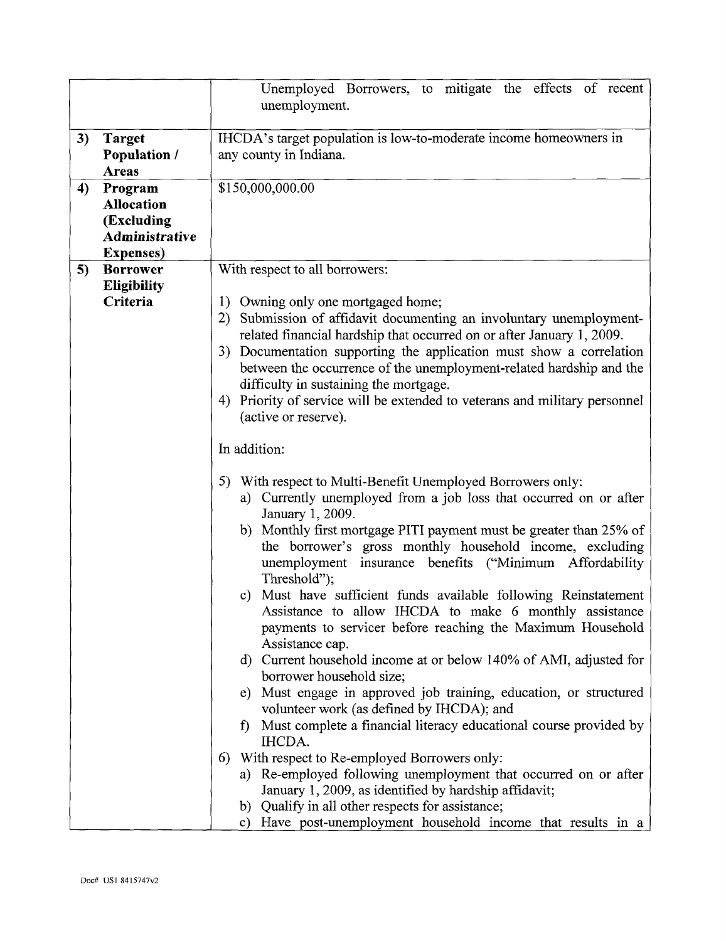|    |                                                                                          | Unemployed Borrowers, to mitigate the effects of recent<br>unemployment.                                                                                                                                                                                                                                                                                                                                                                                                                                                                                                                                                                                                                                                                                                                                                                                                                                                                                     |  |
|----|------------------------------------------------------------------------------------------|--------------------------------------------------------------------------------------------------------------------------------------------------------------------------------------------------------------------------------------------------------------------------------------------------------------------------------------------------------------------------------------------------------------------------------------------------------------------------------------------------------------------------------------------------------------------------------------------------------------------------------------------------------------------------------------------------------------------------------------------------------------------------------------------------------------------------------------------------------------------------------------------------------------------------------------------------------------|--|
| 3) | <b>Target</b>                                                                            | IHCDA's target population is low-to-moderate income homeowners in                                                                                                                                                                                                                                                                                                                                                                                                                                                                                                                                                                                                                                                                                                                                                                                                                                                                                            |  |
|    | <b>Population /</b><br><b>Areas</b>                                                      | any county in Indiana.                                                                                                                                                                                                                                                                                                                                                                                                                                                                                                                                                                                                                                                                                                                                                                                                                                                                                                                                       |  |
| 4) | Program<br><b>Allocation</b><br>(Excluding<br><b>Administrative</b><br><b>Expenses</b> ) | \$150,000,000.00                                                                                                                                                                                                                                                                                                                                                                                                                                                                                                                                                                                                                                                                                                                                                                                                                                                                                                                                             |  |
| 5) | <b>Borrower</b>                                                                          | With respect to all borrowers:                                                                                                                                                                                                                                                                                                                                                                                                                                                                                                                                                                                                                                                                                                                                                                                                                                                                                                                               |  |
|    | <b>Eligibility</b><br>Criteria                                                           | 1) Owning only one mortgaged home;<br>Submission of affidavit documenting an involuntary unemployment-<br>2)<br>related financial hardship that occurred on or after January 1, 2009.<br>Documentation supporting the application must show a correlation<br>3)<br>between the occurrence of the unemployment-related hardship and the<br>difficulty in sustaining the mortgage.<br>Priority of service will be extended to veterans and military personnel<br>4)<br>(active or reserve).                                                                                                                                                                                                                                                                                                                                                                                                                                                                    |  |
|    |                                                                                          | In addition:                                                                                                                                                                                                                                                                                                                                                                                                                                                                                                                                                                                                                                                                                                                                                                                                                                                                                                                                                 |  |
|    |                                                                                          | 5) With respect to Multi-Benefit Unemployed Borrowers only:<br>Currently unemployed from a job loss that occurred on or after<br>a)<br>January 1, 2009.<br>b) Monthly first mortgage PITI payment must be greater than 25% of<br>the borrower's gross monthly household income, excluding<br>unemployment insurance benefits ("Minimum Affordability<br>Threshold");<br>c) Must have sufficient funds available following Reinstatement<br>Assistance to allow IHCDA to make 6 monthly assistance<br>payments to servicer before reaching the Maximum Household<br>Assistance cap.<br>d) Current household income at or below 140% of AMI, adjusted for<br>borrower household size;<br>Must engage in approved job training, education, or structured<br>e)<br>volunteer work (as defined by IHCDA); and<br>Must complete a financial literacy educational course provided by<br>$\mathbf{f}$<br>IHCDA.<br>With respect to Re-employed Borrowers only:<br>6) |  |
|    |                                                                                          | a) Re-employed following unemployment that occurred on or after<br>January 1, 2009, as identified by hardship affidavit;<br>b) Qualify in all other respects for assistance;<br>c) Have post-unemployment household income that results in a                                                                                                                                                                                                                                                                                                                                                                                                                                                                                                                                                                                                                                                                                                                 |  |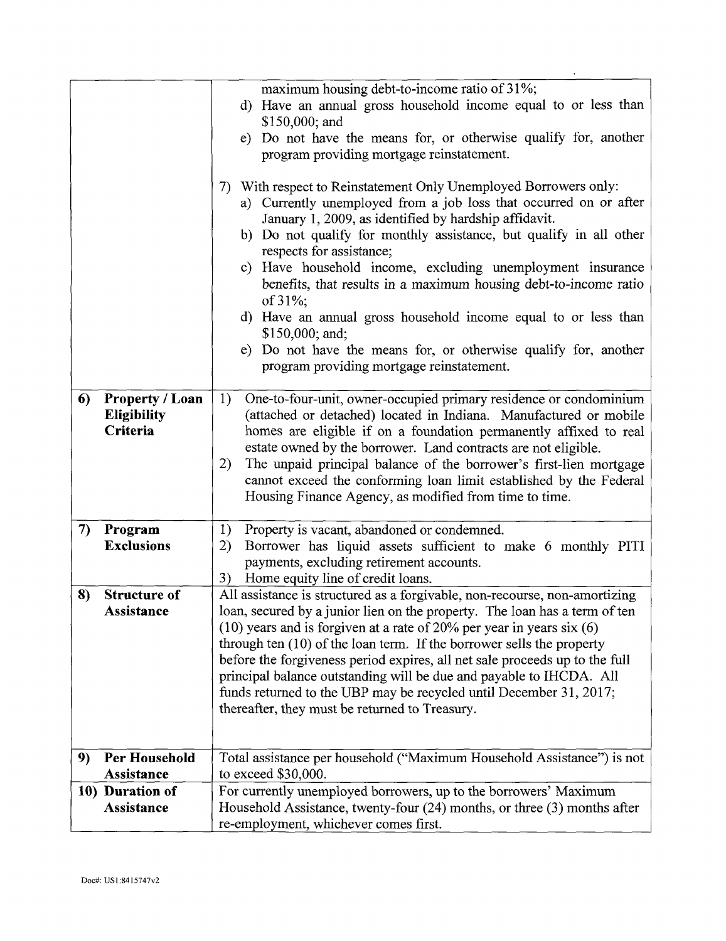|    |                                                          | maximum housing debt-to-income ratio of 31%;<br>Have an annual gross household income equal to or less than<br>d)<br>$$150,000;$ and<br>e) Do not have the means for, or otherwise qualify for, another<br>program providing mortgage reinstatement.<br>With respect to Reinstatement Only Unemployed Borrowers only:<br>7)<br>a) Currently unemployed from a job loss that occurred on or after<br>January 1, 2009, as identified by hardship affidavit.<br>b) Do not qualify for monthly assistance, but qualify in all other<br>respects for assistance;<br>c) Have household income, excluding unemployment insurance<br>benefits, that results in a maximum housing debt-to-income ratio<br>of 31%;<br>d) Have an annual gross household income equal to or less than |  |
|----|----------------------------------------------------------|----------------------------------------------------------------------------------------------------------------------------------------------------------------------------------------------------------------------------------------------------------------------------------------------------------------------------------------------------------------------------------------------------------------------------------------------------------------------------------------------------------------------------------------------------------------------------------------------------------------------------------------------------------------------------------------------------------------------------------------------------------------------------|--|
|    |                                                          | $$150,000$ ; and;<br>e) Do not have the means for, or otherwise qualify for, another<br>program providing mortgage reinstatement.                                                                                                                                                                                                                                                                                                                                                                                                                                                                                                                                                                                                                                          |  |
| 6) | <b>Property / Loan</b><br><b>Eligibility</b><br>Criteria | 1)<br>One-to-four-unit, owner-occupied primary residence or condominium<br>(attached or detached) located in Indiana. Manufactured or mobile<br>homes are eligible if on a foundation permanently affixed to real<br>estate owned by the borrower. Land contracts are not eligible.<br>The unpaid principal balance of the borrower's first-lien mortgage<br>2)<br>cannot exceed the conforming loan limit established by the Federal<br>Housing Finance Agency, as modified from time to time.                                                                                                                                                                                                                                                                            |  |
| 7) | Program<br><b>Exclusions</b>                             | Property is vacant, abandoned or condemned.<br>1)<br>Borrower has liquid assets sufficient to make 6 monthly PITI<br>2)<br>payments, excluding retirement accounts.<br>Home equity line of credit loans.<br>3)                                                                                                                                                                                                                                                                                                                                                                                                                                                                                                                                                             |  |
| 8) | <b>Structure of</b><br>Assistance                        | All assistance is structured as a forgivable, non-recourse, non-amortizing<br>loan, secured by a junior lien on the property. The loan has a term of ten<br>$(10)$ years and is forgiven at a rate of 20% per year in years six $(6)$<br>through ten (10) of the loan term. If the borrower sells the property<br>before the forgiveness period expires, all net sale proceeds up to the full<br>principal balance outstanding will be due and payable to IHCDA. All<br>funds returned to the UBP may be recycled until December 31, 2017;<br>thereafter, they must be returned to Treasury.                                                                                                                                                                               |  |
| 9) | <b>Per Household</b>                                     | Total assistance per household ("Maximum Household Assistance") is not                                                                                                                                                                                                                                                                                                                                                                                                                                                                                                                                                                                                                                                                                                     |  |
|    | Assistance                                               | to exceed \$30,000.                                                                                                                                                                                                                                                                                                                                                                                                                                                                                                                                                                                                                                                                                                                                                        |  |
|    | 10) Duration of<br>Assistance                            | For currently unemployed borrowers, up to the borrowers' Maximum<br>Household Assistance, twenty-four $(24)$ months, or three $(3)$ months after<br>re-employment, whichever comes first.                                                                                                                                                                                                                                                                                                                                                                                                                                                                                                                                                                                  |  |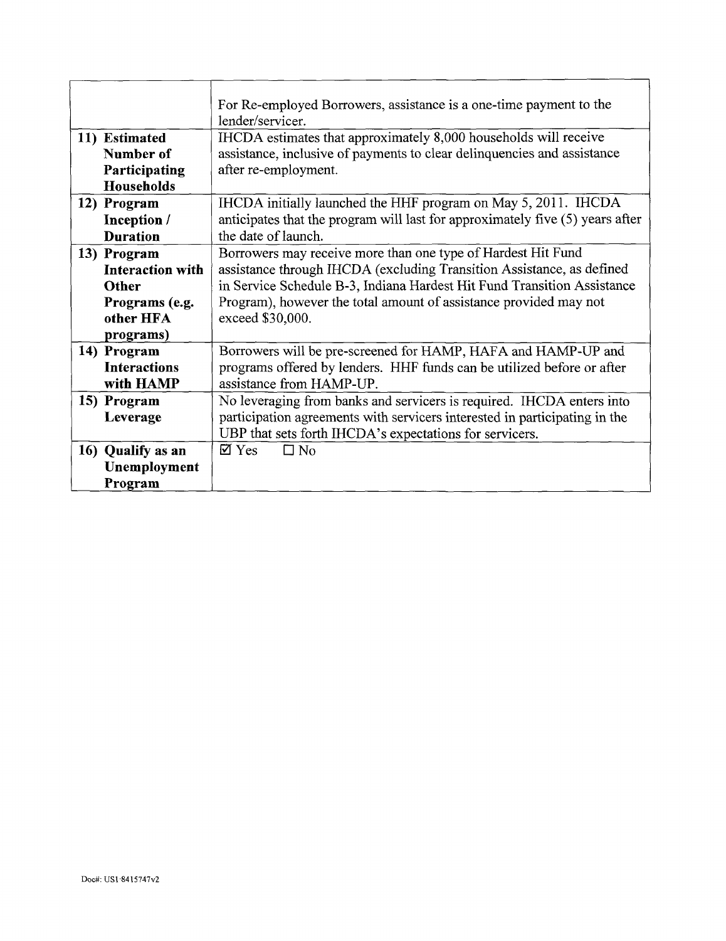|               |                         | For Re-employed Borrowers, assistance is a one-time payment to the            |
|---------------|-------------------------|-------------------------------------------------------------------------------|
|               |                         | lender/servicer.                                                              |
| 11) Estimated |                         | IHCDA estimates that approximately 8,000 households will receive              |
|               | Number of               | assistance, inclusive of payments to clear delinquencies and assistance       |
|               | Participating           | after re-employment.                                                          |
|               | Households              |                                                                               |
| 12) Program   |                         | IHCDA initially launched the HHF program on May 5, 2011. IHCDA                |
|               | Inception /             | anticipates that the program will last for approximately five (5) years after |
|               | <b>Duration</b>         | the date of launch.                                                           |
| 13) Program   |                         | Borrowers may receive more than one type of Hardest Hit Fund                  |
|               | <b>Interaction with</b> | assistance through IHCDA (excluding Transition Assistance, as defined         |
|               | Other                   | in Service Schedule B-3, Indiana Hardest Hit Fund Transition Assistance       |
|               | Programs (e.g.          | Program), however the total amount of assistance provided may not             |
|               | other HFA               | exceed \$30,000.                                                              |
|               | programs)               |                                                                               |
| 14) Program   |                         | Borrowers will be pre-screened for HAMP, HAFA and HAMP-UP and                 |
|               | <b>Interactions</b>     | programs offered by lenders. HHF funds can be utilized before or after        |
|               | with HAMP               | assistance from HAMP-UP.                                                      |
| 15) Program   |                         | No leveraging from banks and servicers is required. IHCDA enters into         |
|               | Leverage                | participation agreements with servicers interested in participating in the    |
|               |                         | UBP that sets forth IHCDA's expectations for servicers.                       |
|               | 16) Qualify as an       | $\boxtimes$ Yes<br>$\square$ No                                               |
|               | Unemployment            |                                                                               |
|               | Program                 |                                                                               |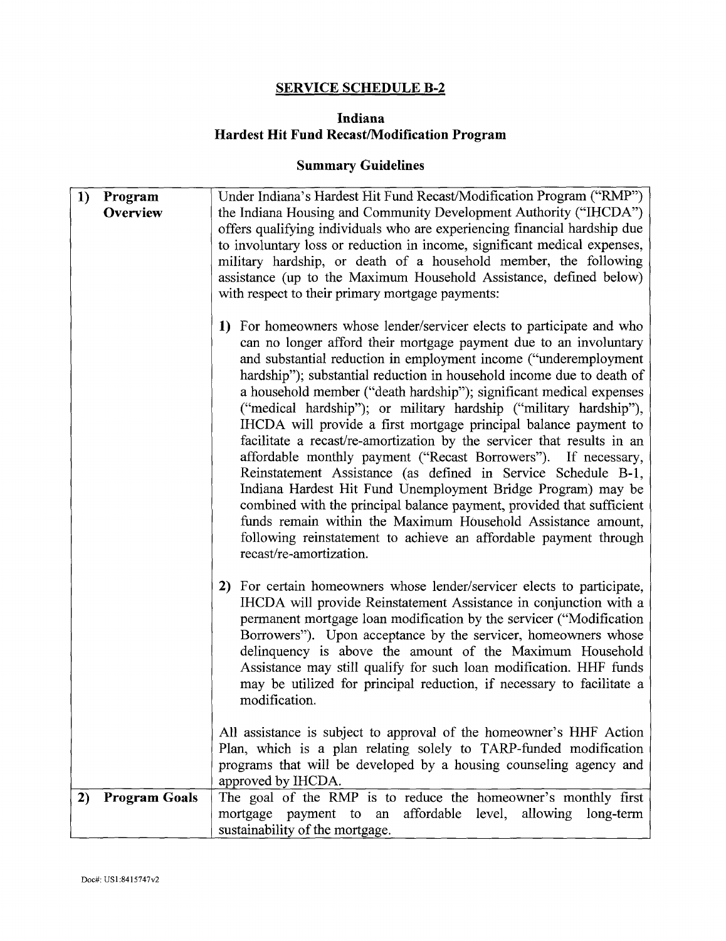#### **SERVICE SCHEDULE B-2**

#### **Indiana Hardest Hit Fund Recast/Modification Program**

## **Summary Guidelines**

| 1) | Program              | Under Indiana's Hardest Hit Fund Recast/Modification Program ("RMP")                                                                                                                                                                                                                                                                                                                                                                                                                                                                                                                                                                                                                                                                                                                                                                                                                                                                                                                                                            |
|----|----------------------|---------------------------------------------------------------------------------------------------------------------------------------------------------------------------------------------------------------------------------------------------------------------------------------------------------------------------------------------------------------------------------------------------------------------------------------------------------------------------------------------------------------------------------------------------------------------------------------------------------------------------------------------------------------------------------------------------------------------------------------------------------------------------------------------------------------------------------------------------------------------------------------------------------------------------------------------------------------------------------------------------------------------------------|
|    | Overview             | the Indiana Housing and Community Development Authority ("IHCDA")                                                                                                                                                                                                                                                                                                                                                                                                                                                                                                                                                                                                                                                                                                                                                                                                                                                                                                                                                               |
|    |                      | offers qualifying individuals who are experiencing financial hardship due                                                                                                                                                                                                                                                                                                                                                                                                                                                                                                                                                                                                                                                                                                                                                                                                                                                                                                                                                       |
|    |                      | to involuntary loss or reduction in income, significant medical expenses,                                                                                                                                                                                                                                                                                                                                                                                                                                                                                                                                                                                                                                                                                                                                                                                                                                                                                                                                                       |
|    |                      | military hardship, or death of a household member, the following                                                                                                                                                                                                                                                                                                                                                                                                                                                                                                                                                                                                                                                                                                                                                                                                                                                                                                                                                                |
|    |                      | assistance (up to the Maximum Household Assistance, defined below)                                                                                                                                                                                                                                                                                                                                                                                                                                                                                                                                                                                                                                                                                                                                                                                                                                                                                                                                                              |
|    |                      | with respect to their primary mortgage payments:                                                                                                                                                                                                                                                                                                                                                                                                                                                                                                                                                                                                                                                                                                                                                                                                                                                                                                                                                                                |
|    |                      | For homeowners whose lender/servicer elects to participate and who<br>1)<br>can no longer afford their mortgage payment due to an involuntary<br>and substantial reduction in employment income ("underemployment<br>hardship"); substantial reduction in household income due to death of<br>a household member ("death hardship"); significant medical expenses<br>("medical hardship"); or military hardship ("military hardship"),<br>IHCDA will provide a first mortgage principal balance payment to<br>facilitate a recast/re-amortization by the servicer that results in an<br>affordable monthly payment ("Recast Borrowers"). If necessary,<br>Reinstatement Assistance (as defined in Service Schedule B-1,<br>Indiana Hardest Hit Fund Unemployment Bridge Program) may be<br>combined with the principal balance payment, provided that sufficient<br>funds remain within the Maximum Household Assistance amount,<br>following reinstatement to achieve an affordable payment through<br>recast/re-amortization. |
|    |                      | For certain homeowners whose lender/servicer elects to participate,<br>2)<br>IHCDA will provide Reinstatement Assistance in conjunction with a<br>permanent mortgage loan modification by the servicer ("Modification<br>Borrowers"). Upon acceptance by the servicer, homeowners whose<br>delinquency is above the amount of the Maximum Household<br>Assistance may still qualify for such loan modification. HHF funds<br>may be utilized for principal reduction, if necessary to facilitate a<br>modification.                                                                                                                                                                                                                                                                                                                                                                                                                                                                                                             |
|    |                      | All assistance is subject to approval of the homeowner's HHF Action<br>Plan, which is a plan relating solely to TARP-funded modification<br>programs that will be developed by a housing counseling agency and<br>approved by IHCDA.                                                                                                                                                                                                                                                                                                                                                                                                                                                                                                                                                                                                                                                                                                                                                                                            |
| 2) | <b>Program Goals</b> | The goal of the RMP is to reduce the homeowner's monthly first                                                                                                                                                                                                                                                                                                                                                                                                                                                                                                                                                                                                                                                                                                                                                                                                                                                                                                                                                                  |
|    |                      | mortgage payment to an affordable level, allowing long-term                                                                                                                                                                                                                                                                                                                                                                                                                                                                                                                                                                                                                                                                                                                                                                                                                                                                                                                                                                     |
|    |                      | sustainability of the mortgage.                                                                                                                                                                                                                                                                                                                                                                                                                                                                                                                                                                                                                                                                                                                                                                                                                                                                                                                                                                                                 |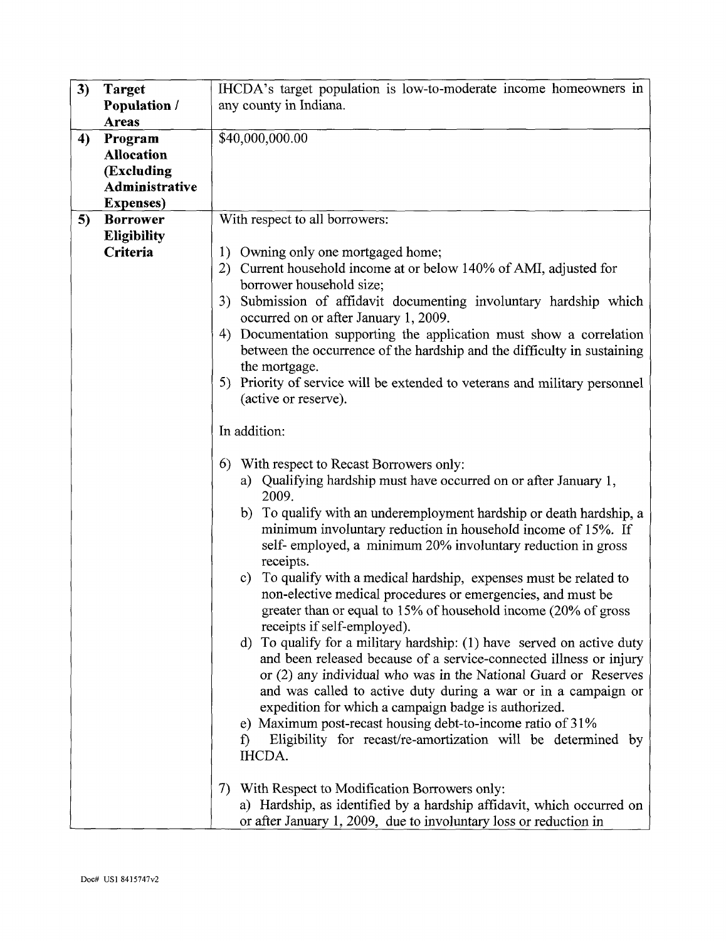| 3)<br>IHCDA's target population is low-to-moderate income homeowners in<br><b>Target</b><br><b>Population</b> /<br>any county in Indiana.<br><b>Areas</b><br>\$40,000,000.00<br>4)<br>Program<br><b>Allocation</b><br>(Excluding<br>Administrative<br><b>Expenses</b> )<br>With respect to all borrowers:<br>5)<br><b>Borrower</b><br><b>Eligibility</b><br>Criteria<br>Owning only one mortgaged home;<br>1)<br>Current household income at or below 140% of AMI, adjusted for<br>2)<br>borrower household size;<br>Submission of affidavit documenting involuntary hardship which<br>3) |  |  |
|-------------------------------------------------------------------------------------------------------------------------------------------------------------------------------------------------------------------------------------------------------------------------------------------------------------------------------------------------------------------------------------------------------------------------------------------------------------------------------------------------------------------------------------------------------------------------------------------|--|--|
|                                                                                                                                                                                                                                                                                                                                                                                                                                                                                                                                                                                           |  |  |
|                                                                                                                                                                                                                                                                                                                                                                                                                                                                                                                                                                                           |  |  |
|                                                                                                                                                                                                                                                                                                                                                                                                                                                                                                                                                                                           |  |  |
|                                                                                                                                                                                                                                                                                                                                                                                                                                                                                                                                                                                           |  |  |
|                                                                                                                                                                                                                                                                                                                                                                                                                                                                                                                                                                                           |  |  |
|                                                                                                                                                                                                                                                                                                                                                                                                                                                                                                                                                                                           |  |  |
|                                                                                                                                                                                                                                                                                                                                                                                                                                                                                                                                                                                           |  |  |
|                                                                                                                                                                                                                                                                                                                                                                                                                                                                                                                                                                                           |  |  |
|                                                                                                                                                                                                                                                                                                                                                                                                                                                                                                                                                                                           |  |  |
|                                                                                                                                                                                                                                                                                                                                                                                                                                                                                                                                                                                           |  |  |
|                                                                                                                                                                                                                                                                                                                                                                                                                                                                                                                                                                                           |  |  |
|                                                                                                                                                                                                                                                                                                                                                                                                                                                                                                                                                                                           |  |  |
|                                                                                                                                                                                                                                                                                                                                                                                                                                                                                                                                                                                           |  |  |
|                                                                                                                                                                                                                                                                                                                                                                                                                                                                                                                                                                                           |  |  |
|                                                                                                                                                                                                                                                                                                                                                                                                                                                                                                                                                                                           |  |  |
|                                                                                                                                                                                                                                                                                                                                                                                                                                                                                                                                                                                           |  |  |
| occurred on or after January 1, 2009.                                                                                                                                                                                                                                                                                                                                                                                                                                                                                                                                                     |  |  |
| 4) Documentation supporting the application must show a correlation                                                                                                                                                                                                                                                                                                                                                                                                                                                                                                                       |  |  |
| between the occurrence of the hardship and the difficulty in sustaining                                                                                                                                                                                                                                                                                                                                                                                                                                                                                                                   |  |  |
| the mortgage.                                                                                                                                                                                                                                                                                                                                                                                                                                                                                                                                                                             |  |  |
| Priority of service will be extended to veterans and military personnel<br>5)                                                                                                                                                                                                                                                                                                                                                                                                                                                                                                             |  |  |
| (active or reserve).                                                                                                                                                                                                                                                                                                                                                                                                                                                                                                                                                                      |  |  |
|                                                                                                                                                                                                                                                                                                                                                                                                                                                                                                                                                                                           |  |  |
|                                                                                                                                                                                                                                                                                                                                                                                                                                                                                                                                                                                           |  |  |
| In addition:                                                                                                                                                                                                                                                                                                                                                                                                                                                                                                                                                                              |  |  |
|                                                                                                                                                                                                                                                                                                                                                                                                                                                                                                                                                                                           |  |  |
| With respect to Recast Borrowers only:<br>6)                                                                                                                                                                                                                                                                                                                                                                                                                                                                                                                                              |  |  |
| Qualifying hardship must have occurred on or after January 1,<br>a)                                                                                                                                                                                                                                                                                                                                                                                                                                                                                                                       |  |  |
| 2009.                                                                                                                                                                                                                                                                                                                                                                                                                                                                                                                                                                                     |  |  |
| b) To qualify with an underemployment hardship or death hardship, a                                                                                                                                                                                                                                                                                                                                                                                                                                                                                                                       |  |  |
| minimum involuntary reduction in household income of 15%. If                                                                                                                                                                                                                                                                                                                                                                                                                                                                                                                              |  |  |
|                                                                                                                                                                                                                                                                                                                                                                                                                                                                                                                                                                                           |  |  |
| self-employed, a minimum 20% involuntary reduction in gross                                                                                                                                                                                                                                                                                                                                                                                                                                                                                                                               |  |  |
| receipts.                                                                                                                                                                                                                                                                                                                                                                                                                                                                                                                                                                                 |  |  |
| To qualify with a medical hardship, expenses must be related to<br>$\mathbf{c}$ )                                                                                                                                                                                                                                                                                                                                                                                                                                                                                                         |  |  |
| non-elective medical procedures or emergencies, and must be                                                                                                                                                                                                                                                                                                                                                                                                                                                                                                                               |  |  |
| greater than or equal to 15% of household income (20% of gross                                                                                                                                                                                                                                                                                                                                                                                                                                                                                                                            |  |  |
| receipts if self-employed).                                                                                                                                                                                                                                                                                                                                                                                                                                                                                                                                                               |  |  |
|                                                                                                                                                                                                                                                                                                                                                                                                                                                                                                                                                                                           |  |  |
| d) To qualify for a military hardship: (1) have served on active duty                                                                                                                                                                                                                                                                                                                                                                                                                                                                                                                     |  |  |
| and been released because of a service-connected illness or injury                                                                                                                                                                                                                                                                                                                                                                                                                                                                                                                        |  |  |
| or (2) any individual who was in the National Guard or Reserves                                                                                                                                                                                                                                                                                                                                                                                                                                                                                                                           |  |  |
| and was called to active duty during a war or in a campaign or                                                                                                                                                                                                                                                                                                                                                                                                                                                                                                                            |  |  |
| expedition for which a campaign badge is authorized.                                                                                                                                                                                                                                                                                                                                                                                                                                                                                                                                      |  |  |
| e) Maximum post-recast housing debt-to-income ratio of 31%                                                                                                                                                                                                                                                                                                                                                                                                                                                                                                                                |  |  |
|                                                                                                                                                                                                                                                                                                                                                                                                                                                                                                                                                                                           |  |  |
| Eligibility for recast/re-amortization will be determined by<br>$\hat{D}$                                                                                                                                                                                                                                                                                                                                                                                                                                                                                                                 |  |  |
| IHCDA.                                                                                                                                                                                                                                                                                                                                                                                                                                                                                                                                                                                    |  |  |
|                                                                                                                                                                                                                                                                                                                                                                                                                                                                                                                                                                                           |  |  |
| With Respect to Modification Borrowers only:<br>7)                                                                                                                                                                                                                                                                                                                                                                                                                                                                                                                                        |  |  |
| a) Hardship, as identified by a hardship affidavit, which occurred on                                                                                                                                                                                                                                                                                                                                                                                                                                                                                                                     |  |  |
| or after January 1, 2009, due to involuntary loss or reduction in                                                                                                                                                                                                                                                                                                                                                                                                                                                                                                                         |  |  |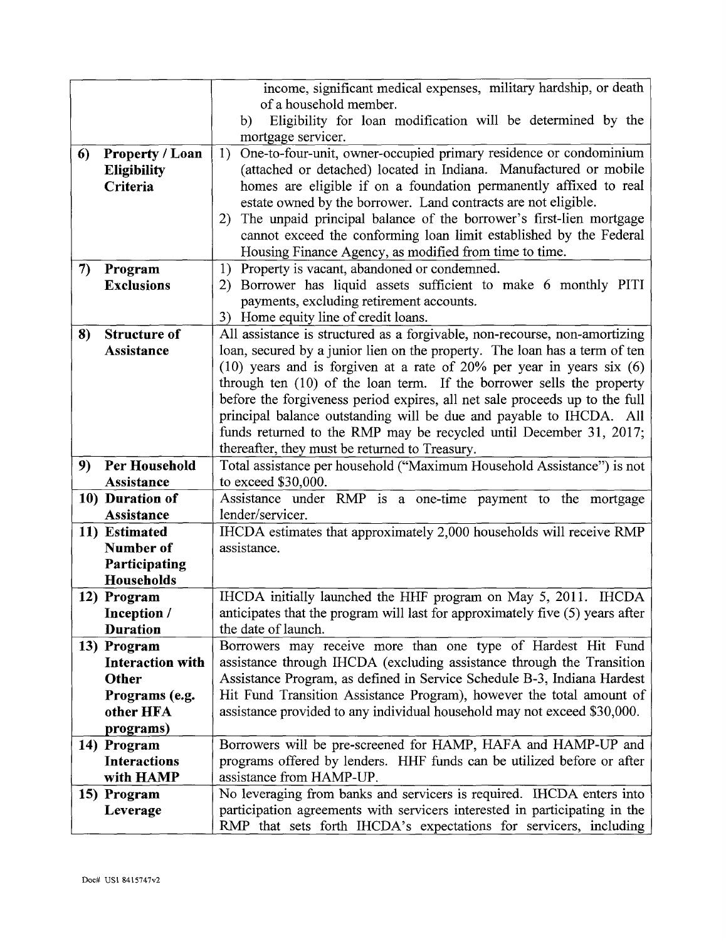|    |                             | income, significant medical expenses, military hardship, or death                             |
|----|-----------------------------|-----------------------------------------------------------------------------------------------|
|    |                             | of a household member.                                                                        |
|    |                             | Eligibility for loan modification will be determined by the<br>b)                             |
|    |                             | mortgage servicer.                                                                            |
| 6) | <b>Property / Loan</b>      | One-to-four-unit, owner-occupied primary residence or condominium<br>1)                       |
|    | <b>Eligibility</b>          | (attached or detached) located in Indiana. Manufactured or mobile                             |
|    | Criteria                    | homes are eligible if on a foundation permanently affixed to real                             |
|    |                             | estate owned by the borrower. Land contracts are not eligible.                                |
|    |                             | The unpaid principal balance of the borrower's first-lien mortgage<br>2)                      |
|    |                             | cannot exceed the conforming loan limit established by the Federal                            |
|    |                             | Housing Finance Agency, as modified from time to time.                                        |
| 7) | Program                     | Property is vacant, abandoned or condemned.<br>1)                                             |
|    | <b>Exclusions</b>           | Borrower has liquid assets sufficient to make 6 monthly PITI<br>2)                            |
|    |                             | payments, excluding retirement accounts.                                                      |
|    |                             | 3) Home equity line of credit loans.                                                          |
| 8) | <b>Structure of</b>         | All assistance is structured as a forgivable, non-recourse, non-amortizing                    |
|    | <b>Assistance</b>           | loan, secured by a junior lien on the property. The loan has a term of ten                    |
|    |                             | $(10)$ years and is forgiven at a rate of 20% per year in years six $(6)$                     |
|    |                             | through ten (10) of the loan term. If the borrower sells the property                         |
|    |                             | before the forgiveness period expires, all net sale proceeds up to the full                   |
|    |                             | principal balance outstanding will be due and payable to IHCDA. All                           |
|    |                             | funds returned to the RMP may be recycled until December 31, 2017;                            |
|    |                             | thereafter, they must be returned to Treasury.                                                |
| 9) | Per Household<br>Assistance | Total assistance per household ("Maximum Household Assistance") is not<br>to exceed \$30,000. |
|    | 10) Duration of             | Assistance under RMP is a one-time payment to the mortgage                                    |
|    | Assistance                  | lender/servicer.                                                                              |
|    | 11) Estimated               | IHCDA estimates that approximately 2,000 households will receive RMP                          |
|    | Number of                   | assistance.                                                                                   |
|    | Participating               |                                                                                               |
|    | Households                  |                                                                                               |
|    | 12) Program                 | IHCDA initially launched the HHF program on May 5, 2011. IHCDA                                |
|    | Inception /                 | anticipates that the program will last for approximately five (5) years after                 |
|    | <b>Duration</b>             | the date of launch.                                                                           |
|    | 13) Program                 | Borrowers may receive more than one type of Hardest Hit Fund                                  |
|    | <b>Interaction with</b>     | assistance through IHCDA (excluding assistance through the Transition                         |
|    | Other                       | Assistance Program, as defined in Service Schedule B-3, Indiana Hardest                       |
|    | Programs (e.g.              | Hit Fund Transition Assistance Program), however the total amount of                          |
|    | other HFA                   | assistance provided to any individual household may not exceed \$30,000.                      |
|    | programs)                   |                                                                                               |
|    | 14) Program                 | Borrowers will be pre-screened for HAMP, HAFA and HAMP-UP and                                 |
|    | <b>Interactions</b>         | programs offered by lenders. HHF funds can be utilized before or after                        |
|    | with HAMP                   | assistance from HAMP-UP.                                                                      |
|    | 15) Program                 | No leveraging from banks and servicers is required. IHCDA enters into                         |
|    | Leverage                    | participation agreements with servicers interested in participating in the                    |
|    |                             | RMP that sets forth IHCDA's expectations for servicers, including                             |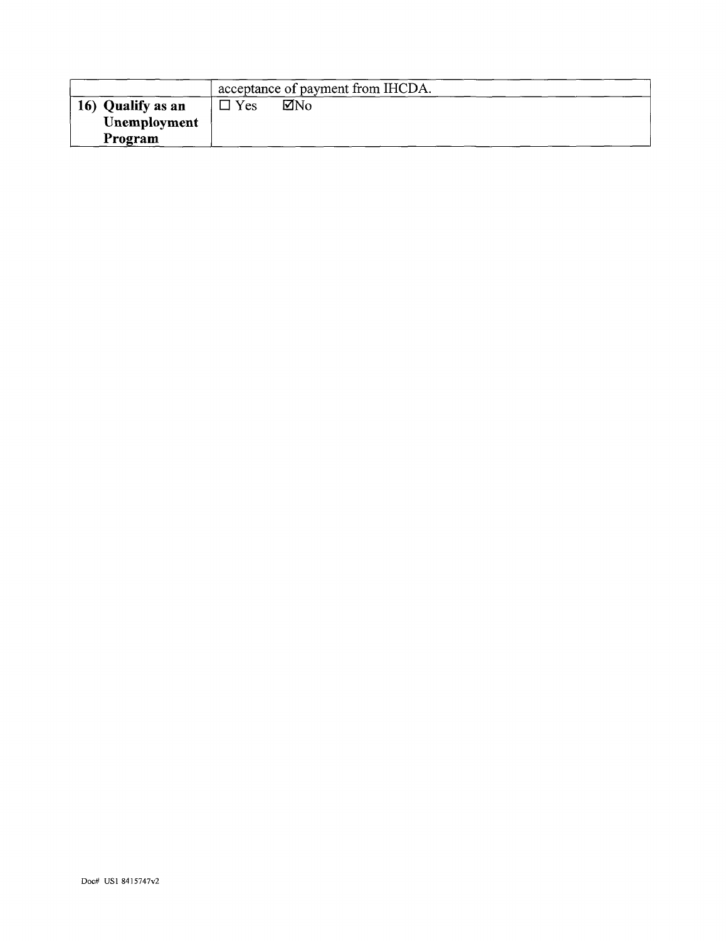| acceptance of payment from IHCDA. |     |     |  |  |
|-----------------------------------|-----|-----|--|--|
| 16) Qualify as an                 | Yes | ⊠No |  |  |
| Unemployment                      |     |     |  |  |
| Program                           |     |     |  |  |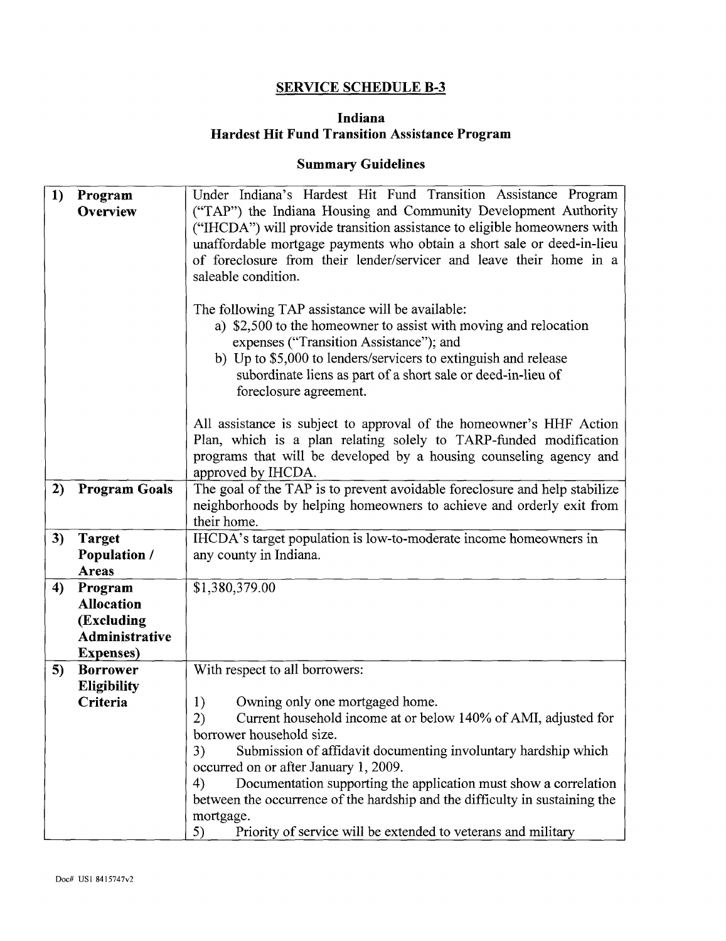## **SERVICE SCHEDULE B-3**

#### **Indiana Hardest Hit Fund Transition Assistance Program**

#### **Summary Guidelines**

| 1) | Program<br>Overview          | Under Indiana's Hardest Hit Fund Transition Assistance Program<br>("TAP") the Indiana Housing and Community Development Authority<br>("IHCDA") will provide transition assistance to eligible homeowners with<br>unaffordable mortgage payments who obtain a short sale or deed-in-lieu<br>of foreclosure from their lender/servicer and leave their home in a<br>saleable condition.<br>The following TAP assistance will be available:<br>a) \$2,500 to the homeowner to assist with moving and relocation |  |
|----|------------------------------|--------------------------------------------------------------------------------------------------------------------------------------------------------------------------------------------------------------------------------------------------------------------------------------------------------------------------------------------------------------------------------------------------------------------------------------------------------------------------------------------------------------|--|
|    |                              | expenses ("Transition Assistance"); and<br>b) Up to \$5,000 to lenders/servicers to extinguish and release<br>subordinate liens as part of a short sale or deed-in-lieu of<br>foreclosure agreement.                                                                                                                                                                                                                                                                                                         |  |
|    |                              | All assistance is subject to approval of the homeowner's HHF Action<br>Plan, which is a plan relating solely to TARP-funded modification<br>programs that will be developed by a housing counseling agency and<br>approved by IHCDA.                                                                                                                                                                                                                                                                         |  |
| 2) | <b>Program Goals</b>         | The goal of the TAP is to prevent avoidable foreclosure and help stabilize<br>neighborhoods by helping homeowners to achieve and orderly exit from<br>their home.                                                                                                                                                                                                                                                                                                                                            |  |
| 3) | <b>Target</b>                | IHCDA's target population is low-to-moderate income homeowners in                                                                                                                                                                                                                                                                                                                                                                                                                                            |  |
|    | <b>Population /</b><br>Areas | any county in Indiana.                                                                                                                                                                                                                                                                                                                                                                                                                                                                                       |  |
| 4) | Program                      | \$1,380,379.00                                                                                                                                                                                                                                                                                                                                                                                                                                                                                               |  |
|    | <b>Allocation</b>            |                                                                                                                                                                                                                                                                                                                                                                                                                                                                                                              |  |
|    | (Excluding<br>Administrative |                                                                                                                                                                                                                                                                                                                                                                                                                                                                                                              |  |
|    | <b>Expenses</b> )            |                                                                                                                                                                                                                                                                                                                                                                                                                                                                                                              |  |
| 5) | <b>Borrower</b>              | With respect to all borrowers:                                                                                                                                                                                                                                                                                                                                                                                                                                                                               |  |
|    | <b>Eligibility</b>           |                                                                                                                                                                                                                                                                                                                                                                                                                                                                                                              |  |
|    | Criteria                     | 1)<br>Owning only one mortgaged home.                                                                                                                                                                                                                                                                                                                                                                                                                                                                        |  |
|    |                              | Current household income at or below 140% of AMI, adjusted for<br>2)<br>borrower household size.                                                                                                                                                                                                                                                                                                                                                                                                             |  |
|    |                              | 3)<br>Submission of affidavit documenting involuntary hardship which                                                                                                                                                                                                                                                                                                                                                                                                                                         |  |
|    |                              | occurred on or after January 1, 2009.                                                                                                                                                                                                                                                                                                                                                                                                                                                                        |  |
|    |                              | Documentation supporting the application must show a correlation<br>4)                                                                                                                                                                                                                                                                                                                                                                                                                                       |  |
|    |                              | between the occurrence of the hardship and the difficulty in sustaining the                                                                                                                                                                                                                                                                                                                                                                                                                                  |  |
|    |                              | mortgage.                                                                                                                                                                                                                                                                                                                                                                                                                                                                                                    |  |
|    |                              | Priority of service will be extended to veterans and military<br>5)                                                                                                                                                                                                                                                                                                                                                                                                                                          |  |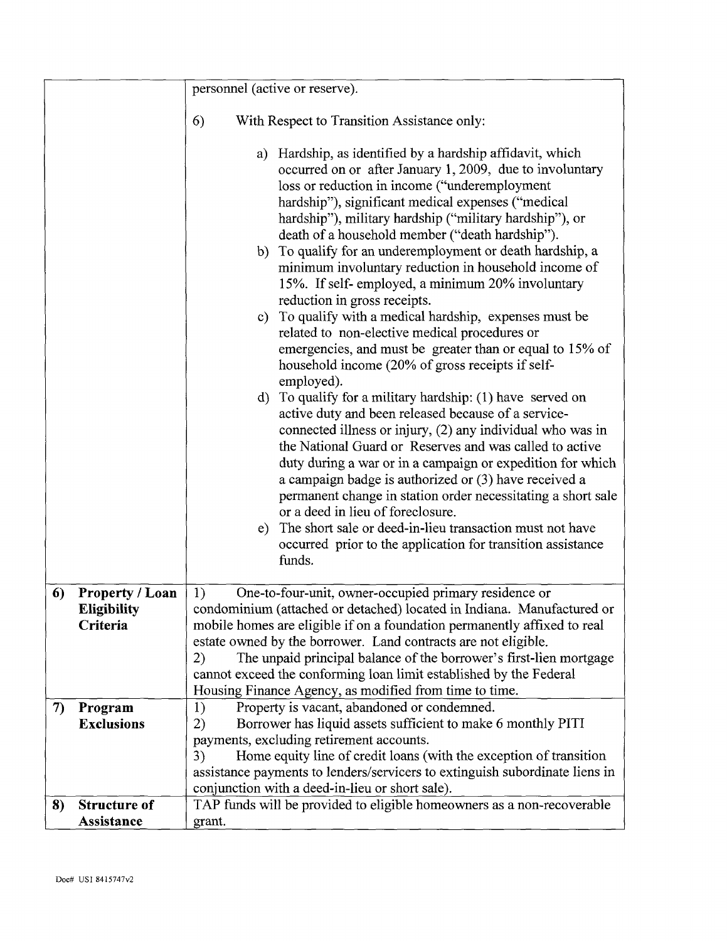|    |                                                          | personnel (active or reserve).                                                                                                                                                                                                                                                                                                                                                                                                                                                                                                                                                                                                                                                                                                                                                                                                                                                                                                                                                                                                                                                                                                                                                                                                                                                                                                                                                                                                    |
|----|----------------------------------------------------------|-----------------------------------------------------------------------------------------------------------------------------------------------------------------------------------------------------------------------------------------------------------------------------------------------------------------------------------------------------------------------------------------------------------------------------------------------------------------------------------------------------------------------------------------------------------------------------------------------------------------------------------------------------------------------------------------------------------------------------------------------------------------------------------------------------------------------------------------------------------------------------------------------------------------------------------------------------------------------------------------------------------------------------------------------------------------------------------------------------------------------------------------------------------------------------------------------------------------------------------------------------------------------------------------------------------------------------------------------------------------------------------------------------------------------------------|
|    |                                                          | 6)<br>With Respect to Transition Assistance only:                                                                                                                                                                                                                                                                                                                                                                                                                                                                                                                                                                                                                                                                                                                                                                                                                                                                                                                                                                                                                                                                                                                                                                                                                                                                                                                                                                                 |
|    |                                                          | Hardship, as identified by a hardship affidavit, which<br>a)<br>occurred on or after January 1, 2009, due to involuntary<br>loss or reduction in income ("underemployment<br>hardship"), significant medical expenses ("medical<br>hardship"), military hardship ("military hardship"), or<br>death of a household member ("death hardship").<br>b) To qualify for an underemployment or death hardship, a<br>minimum involuntary reduction in household income of<br>15%. If self-employed, a minimum 20% involuntary<br>reduction in gross receipts.<br>To qualify with a medical hardship, expenses must be<br>$\mathbf{c})$<br>related to non-elective medical procedures or<br>emergencies, and must be greater than or equal to 15% of<br>household income (20% of gross receipts if self-<br>employed).<br>d) To qualify for a military hardship: $(1)$ have served on<br>active duty and been released because of a service-<br>connected illness or injury, (2) any individual who was in<br>the National Guard or Reserves and was called to active<br>duty during a war or in a campaign or expedition for which<br>a campaign badge is authorized or (3) have received a<br>permanent change in station order necessitating a short sale<br>or a deed in lieu of foreclosure.<br>e) The short sale or deed-in-lieu transaction must not have<br>occurred prior to the application for transition assistance<br>funds. |
| 6) | <b>Property / Loan</b><br><b>Eligibility</b><br>Criteria | One-to-four-unit, owner-occupied primary residence or<br>1)<br>condominium (attached or detached) located in Indiana. Manufactured or<br>mobile homes are eligible if on a foundation permanently affixed to real<br>estate owned by the borrower. Land contracts are not eligible.<br>The unpaid principal balance of the borrower's first-lien mortgage<br>2)<br>cannot exceed the conforming loan limit established by the Federal<br>Housing Finance Agency, as modified from time to time.                                                                                                                                                                                                                                                                                                                                                                                                                                                                                                                                                                                                                                                                                                                                                                                                                                                                                                                                   |
| 7) | Program                                                  | Property is vacant, abandoned or condemned.<br>1)                                                                                                                                                                                                                                                                                                                                                                                                                                                                                                                                                                                                                                                                                                                                                                                                                                                                                                                                                                                                                                                                                                                                                                                                                                                                                                                                                                                 |
|    | <b>Exclusions</b>                                        | 2)<br>Borrower has liquid assets sufficient to make 6 monthly PITI                                                                                                                                                                                                                                                                                                                                                                                                                                                                                                                                                                                                                                                                                                                                                                                                                                                                                                                                                                                                                                                                                                                                                                                                                                                                                                                                                                |
|    |                                                          | payments, excluding retirement accounts.<br>Home equity line of credit loans (with the exception of transition<br>3)                                                                                                                                                                                                                                                                                                                                                                                                                                                                                                                                                                                                                                                                                                                                                                                                                                                                                                                                                                                                                                                                                                                                                                                                                                                                                                              |
|    |                                                          | assistance payments to lenders/servicers to extinguish subordinate liens in                                                                                                                                                                                                                                                                                                                                                                                                                                                                                                                                                                                                                                                                                                                                                                                                                                                                                                                                                                                                                                                                                                                                                                                                                                                                                                                                                       |
|    |                                                          | conjunction with a deed-in-lieu or short sale).                                                                                                                                                                                                                                                                                                                                                                                                                                                                                                                                                                                                                                                                                                                                                                                                                                                                                                                                                                                                                                                                                                                                                                                                                                                                                                                                                                                   |
| 8) | <b>Structure of</b>                                      | TAP funds will be provided to eligible homeowners as a non-recoverable                                                                                                                                                                                                                                                                                                                                                                                                                                                                                                                                                                                                                                                                                                                                                                                                                                                                                                                                                                                                                                                                                                                                                                                                                                                                                                                                                            |
|    | Assistance                                               | grant.                                                                                                                                                                                                                                                                                                                                                                                                                                                                                                                                                                                                                                                                                                                                                                                                                                                                                                                                                                                                                                                                                                                                                                                                                                                                                                                                                                                                                            |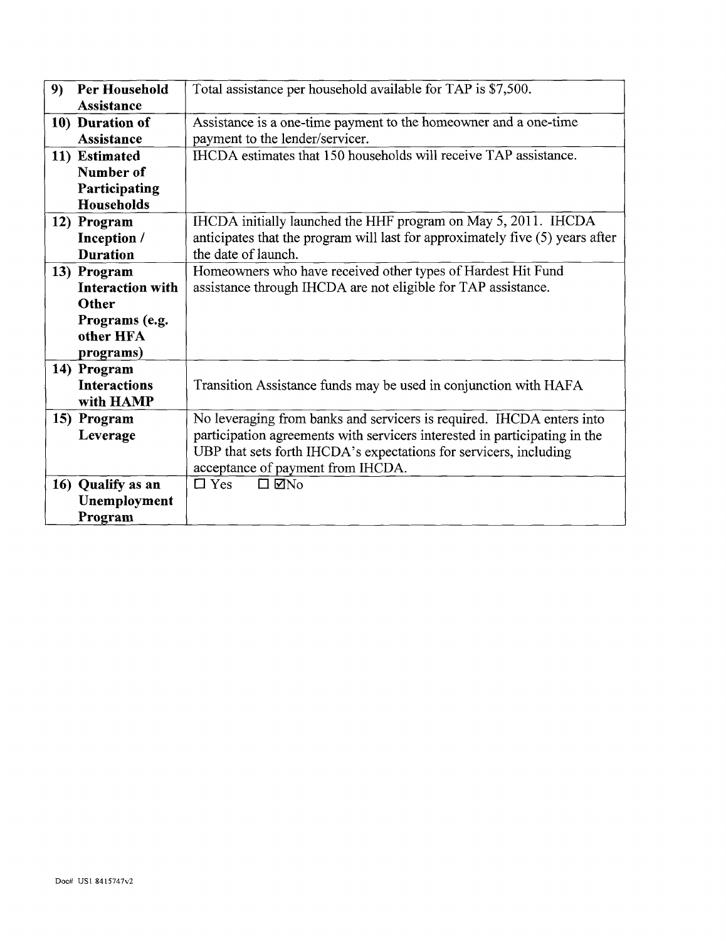| 9) | Per Household           | Total assistance per household available for TAP is \$7,500.                  |  |  |
|----|-------------------------|-------------------------------------------------------------------------------|--|--|
|    | <b>Assistance</b>       |                                                                               |  |  |
|    | 10) Duration of         | Assistance is a one-time payment to the homeowner and a one-time              |  |  |
|    | <b>Assistance</b>       | payment to the lender/servicer.                                               |  |  |
|    | 11) Estimated           | IHCDA estimates that 150 households will receive TAP assistance.              |  |  |
|    | Number of               |                                                                               |  |  |
|    | Participating           |                                                                               |  |  |
|    | Households              |                                                                               |  |  |
|    | 12) Program             | IHCDA initially launched the HHF program on May 5, 2011. IHCDA                |  |  |
|    | Inception /             | anticipates that the program will last for approximately five (5) years after |  |  |
|    | <b>Duration</b>         | the date of launch.                                                           |  |  |
|    | 13) Program             | Homeowners who have received other types of Hardest Hit Fund                  |  |  |
|    | <b>Interaction with</b> | assistance through IHCDA are not eligible for TAP assistance.                 |  |  |
|    | Other                   |                                                                               |  |  |
|    | Programs (e.g.          |                                                                               |  |  |
|    | other HFA               |                                                                               |  |  |
|    | programs)               |                                                                               |  |  |
|    | 14) Program             |                                                                               |  |  |
|    | <b>Interactions</b>     | Transition Assistance funds may be used in conjunction with HAFA              |  |  |
|    | with HAMP               |                                                                               |  |  |
|    | 15) Program             | No leveraging from banks and servicers is required. IHCDA enters into         |  |  |
|    | Leverage                | participation agreements with servicers interested in participating in the    |  |  |
|    |                         | UBP that sets forth IHCDA's expectations for servicers, including             |  |  |
|    |                         | acceptance of payment from IHCDA.                                             |  |  |
|    | 16) Qualify as an       | $\square$ Yes<br>$\square$ Mno                                                |  |  |
|    | Unemployment            |                                                                               |  |  |
|    | Program                 |                                                                               |  |  |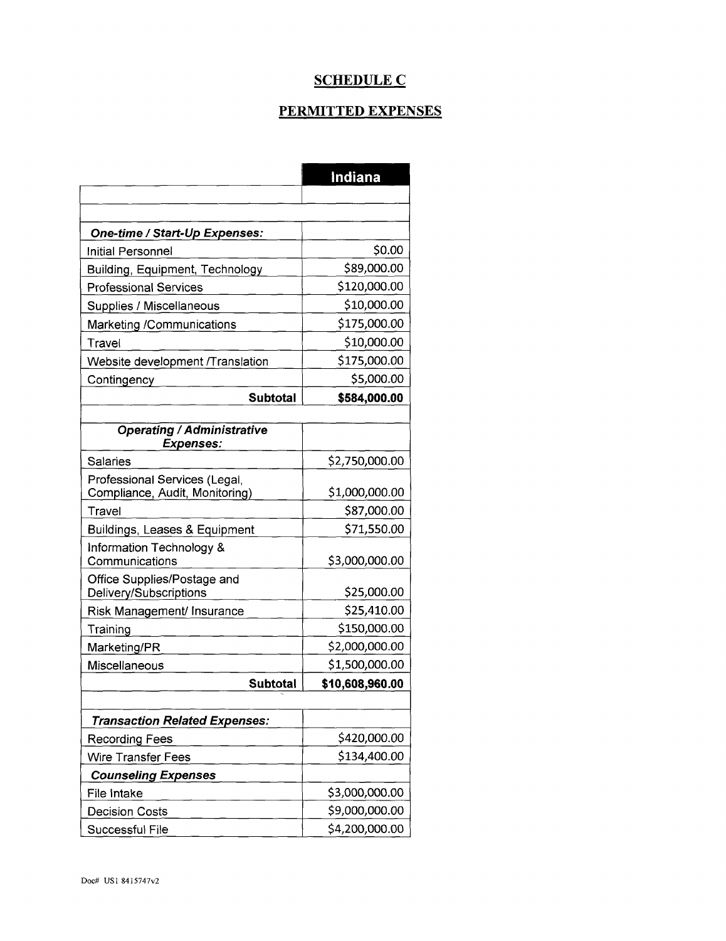#### **SCHEDULE C**

# PERMITTED EXPENSES

|                                                       | Indiana         |
|-------------------------------------------------------|-----------------|
|                                                       |                 |
|                                                       |                 |
| One-time / Start-Up Expenses:                         |                 |
| Initial Personnel                                     | \$0.00          |
| Building, Equipment, Technology                       | \$89,000.00     |
| <b>Professional Services</b>                          | \$120,000.00    |
| Supplies / Miscellaneous                              | \$10,000.00     |
| Marketing /Communications                             | \$175,000.00    |
| Travel                                                | \$10,000.00     |
| Website development /Translation                      | \$175,000.00    |
| Contingency                                           | \$5,000.00      |
| <b>Subtotal</b>                                       | \$584,000.00    |
|                                                       |                 |
| <b>Operating / Administrative</b><br><b>Expenses:</b> |                 |
| <b>Salaries</b>                                       | \$2,750,000.00  |
| Professional Services (Legal,                         |                 |
| Compliance, Audit, Monitoring)                        | \$1,000,000.00  |
| Travel                                                | \$87,000.00     |
| Buildings, Leases & Equipment                         | \$71,550.00     |
| Information Technology &<br>Communications            | \$3,000,000.00  |
| Office Supplies/Postage and<br>Delivery/Subscriptions | \$25,000.00     |
| Risk Management/ Insurance                            | \$25,410.00     |
| Training                                              | \$150,000.00    |
| Marketing/PR                                          | \$2,000,000.00  |
| Miscellaneous                                         | \$1,500,000.00  |
| <b>Subtotal</b>                                       | \$10,608,960.00 |
|                                                       |                 |
| <b>Transaction Related Expenses:</b>                  |                 |
| <b>Recording Fees</b>                                 | \$420,000.00    |
| <b>Wire Transfer Fees</b>                             | \$134,400.00    |
| <b>Counseling Expenses</b>                            |                 |
| File Intake                                           | \$3,000,000.00  |
| <b>Decision Costs</b>                                 | \$9,000,000.00  |
| Successful File                                       | \$4,200,000.00  |